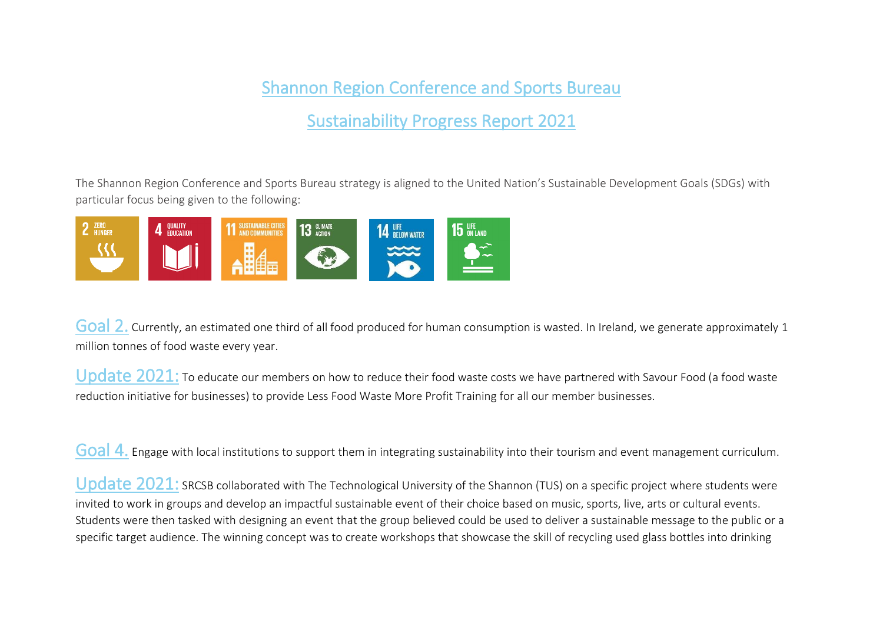## Shannon Region Conference and Sports Bureau

Sustainability Progress Report 2021

The Shannon Region Conference and Sports Bureau strategy is aligned to the United Nation['s Sustainable Development Goals](https://sdgs.un.org/goals) (SDGs) with particular focus being given to the following:



Goal 2. Currently, an estimated one third of all food produced for human consumption is wasted. In Ireland, we generate approximately 1 million tonnes of food waste every year.

Update 2021: To educate our members on how to reduce their food waste costs we have partnered with Savour Food (a food waste reduction initiative for businesses) to provide Less Food Waste More Profit Training for all our member businesses.

Goal 4. Engage with local institutions to support them in integrating sustainability into their tourism and event management curriculum.

Update 2021: SRCSB collaborated with The Technological University of the Shannon (TUS) on a specific project where students were invited to work in groups and develop an impactful sustainable event of their choice based on music, sports, live, arts or cultural events. Students were then tasked with designing an event that the group believed could be used to deliver a sustainable message to the public or a specific target audience. The winning concept was to create workshops that showcase the skill of recycling used glass bottles into drinking